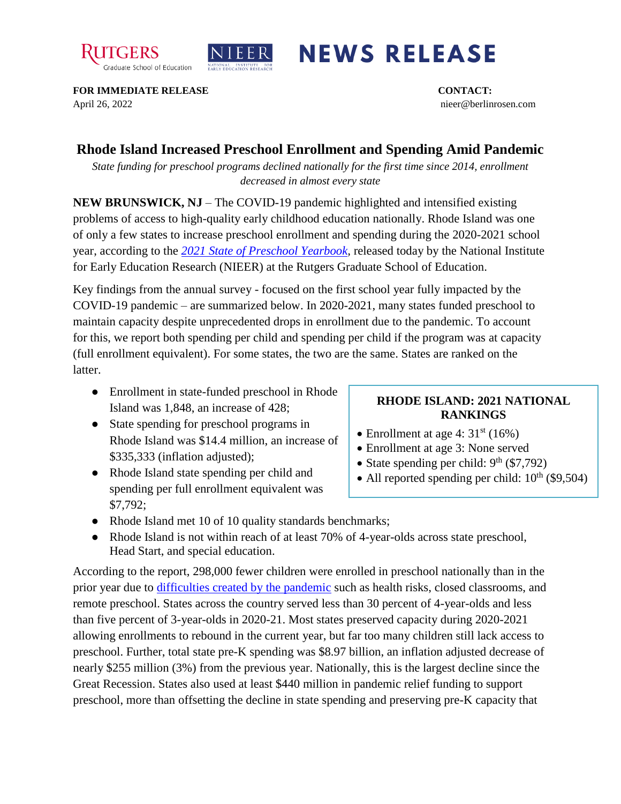



## **NEWS RELEASE**

**FOR IMMEDIATE RELEASE CONTACT:**  April 26, 2022 nieer@berlinrosen.com

## **Rhode Island Increased Preschool Enrollment and Spending Amid Pandemic**

*State funding for preschool programs declined nationally for the first time since 2014, enrollment decreased in almost every state*

**NEW BRUNSWICK, NJ** – The COVID-19 pandemic highlighted and intensified existing problems of access to high-quality early childhood education nationally. Rhode Island was one of only a few states to increase preschool enrollment and spending during the 2020-2021 school year, according to the *[2021 State of Preschool Yearbook,](https://nieer.org/state-preschool-yearbooks-yearbook2021)* released today by the National Institute for Early Education Research (NIEER) at the Rutgers Graduate School of Education.

Key findings from the annual survey - focused on the first school year fully impacted by the COVID-19 pandemic – are summarized below. In 2020-2021, many states funded preschool to maintain capacity despite unprecedented drops in enrollment due to the pandemic. To account for this, we report both spending per child and spending per child if the program was at capacity (full enrollment equivalent). For some states, the two are the same. States are ranked on the latter.

- Enrollment in state-funded preschool in Rhode Island was 1,848, an increase of 428;
- State spending for preschool programs in Rhode Island was \$14.4 million, an increase of \$335,333 (inflation adjusted);
- Rhode Island state spending per child and spending per full enrollment equivalent was \$7,792;

## **RHODE ISLAND: 2021 NATIONAL RANKINGS**

- Enrollment at age 4:  $31<sup>st</sup>$  (16%)
- Enrollment at age 3: None served
- State spending per child:  $9<sup>th</sup>$  (\$7,792)
- All reported spending per child:  $10^{th}$  (\$9,504)
- Rhode Island met 10 of 10 quality standards benchmarks;
- Rhode Island is not within reach of at least 70% of 4-year-olds across state preschool, Head Start, and special education.

According to the report, 298,000 fewer children were enrolled in preschool nationally than in the prior year due to [difficulties created by the pandemic](https://nieer.org/wp-content/uploads/2021/02/NIEER_Seven_Impacts_of_the_Pandemic_on_Young_Children_and_their_Parents.pdf) such as health risks, closed classrooms, and remote preschool. States across the country served less than 30 percent of 4-year-olds and less than five percent of 3-year-olds in 2020-21. Most states preserved capacity during 2020-2021 allowing enrollments to rebound in the current year, but far too many children still lack access to preschool. Further, total state pre-K spending was \$8.97 billion, an inflation adjusted decrease of nearly \$255 million (3%) from the previous year. Nationally, this is the largest decline since the Great Recession. States also used at least \$440 million in pandemic relief funding to support preschool, more than offsetting the decline in state spending and preserving pre-K capacity that